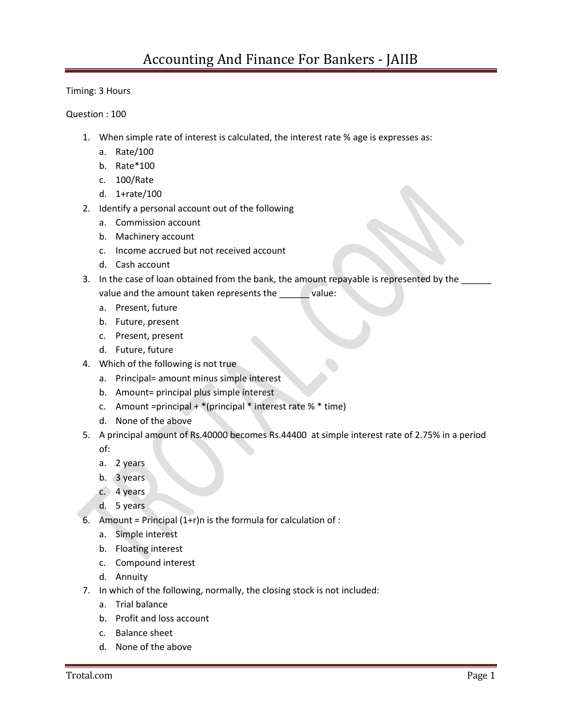Timing: 3 Hours

Question : 100

- 1. When simple rate of interest is calculated, the interest rate % age is expresses as:
	- a. Rate/100
	- b. Rate\*100
	- c. 100/Rate
	- d. 1+rate/100
- 2. Identify a personal account out of the following
	- a. Commission account
	- b. Machinery account
	- c. Income accrued but not received account
	- d. Cash account
- 3. In the case of loan obtained from the bank, the amount repayable is represented by the value and the amount taken represents the value:
	- a. Present, future
	- b. Future, present
	- c. Present, present
	- d. Future, future
- 4. Which of the following is not true
	- a. Principal= amount minus simple interest
	- b. Amount= principal plus simple interest
	- c. Amount =principal + \*(principal \* interest rate % \* time)
	- d. None of the above
- 5. A principal amount of Rs.40000 becomes Rs.44400 at simple interest rate of 2.75% in a period of:
	- a. 2 years
	- b. 3 years
	- c. 4 years
	- d. 5 years
- 6. Amount = Principal  $(1+r)n$  is the formula for calculation of :
	- a. Simple interest
	- b. Floating interest
	- c. Compound interest
	- d. Annuity
- 7. In which of the following, normally, the closing stock is not included:
	- a. Trial balance
	- b. Profit and loss account
	- c. Balance sheet
	- d. None of the above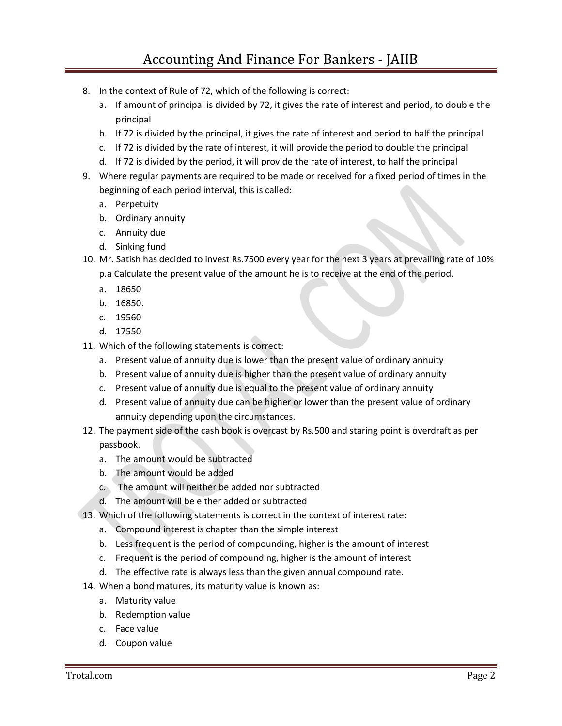- 8. In the context of Rule of 72, which of the following is correct:
	- a. If amount of principal is divided by 72, it gives the rate of interest and period, to double the principal
	- b. If 72 is divided by the principal, it gives the rate of interest and period to half the principal
	- c. If 72 is divided by the rate of interest, it will provide the period to double the principal
	- d. If 72 is divided by the period, it will provide the rate of interest, to half the principal
- 9. Where regular payments are required to be made or received for a fixed period of times in the beginning of each period interval, this is called:
	- a. Perpetuity
	- b. Ordinary annuity
	- c. Annuity due
	- d. Sinking fund
- 10. Mr. Satish has decided to invest Rs.7500 every year for the next 3 years at prevailing rate of 10% p.a Calculate the present value of the amount he is to receive at the end of the period.
	- a. 18650
	- b. 16850.
	- c. 19560
	- d. 17550
- 11. Which of the following statements is correct:
	- a. Present value of annuity due is lower than the present value of ordinary annuity
	- b. Present value of annuity due is higher than the present value of ordinary annuity
	- c. Present value of annuity due is equal to the present value of ordinary annuity
	- annuity depending upon the circumstances. d. Present value of annuity due can be higher or lower than the present value of ordinary
- 12. The payment side of the cash book is overcast by Rs.500 and staring point is overdraft as per passbook.
	- a. The amount would be subtracted
	- b. The amount would be added
	- c. The amount will neither be added nor subtracted
	- d. The amount will be either added or subtracted
- 13. Which of the following statements is correct in the context of interest rate:
	- a. Compound interest is chapter than the simple interest
	- b. Less frequent is the period of compounding, higher is the amount of interest
	- c. Frequent is the period of compounding, higher is the amount of interest
	- d. The effective rate is always less than the given annual compound rate.
- 14. When a bond matures, its maturity value is known as:
	- a. Maturity value
	- b. Redemption value
	- c. Face value
	- d. Coupon value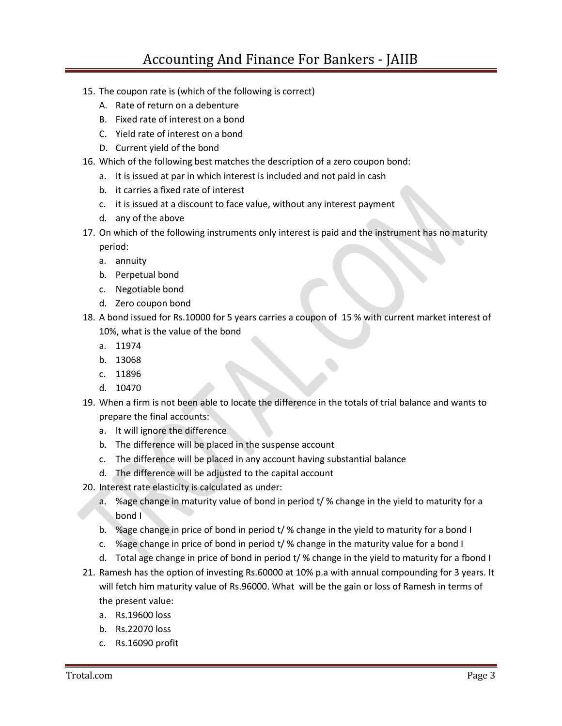- 15. The coupon rate is (which of the following is correct)
	- A. Rate of return on a debenture
	- B. Fixed rate of interest on a bond
	- C. Yield rate of interest on a bond
	- D. Current yield of the bond
- 16. Which of the following best matches the description of a zero coupon bond:
	- a. It is issued at par in which interest is included and not paid in cash
	- b. it carries a fixed rate of interest
	- c. it is issued at a discount to face value, without any interest payment
	- d. any of the above
- period: 17. On which of the following instruments only interest is paid and the instrument has no maturity
	- a. annuity
	- b. Perpetual bond
	- c. Negotiable bond
	- d. Zero coupon bond
- 18. A bond issued for Rs.10000 for 5 years carries a coupon of 15 % with current market interest of 10%, what is the value of the bond
	- a. 11974
	- b. 13068
	- c. 11896
	- d. 10470
- 19. When a firm is not been able to locate the difference in the totals of trial balance and wants to prepare the final accounts:
	- a. It will ignore the difference
	- b. The difference will be placed in the suspense account
	- c. The difference will be placed in any account having substantial balance
	- d. The difference will be adjusted to the capital account
- 20. Interest rate elasticity is calculated as under:
	- bond I a. %age change in maturity value of bond in period t/ % change in the yield to maturity for a
	- b. %age change in price of bond in period t/ % change in the yield to maturity for a bond I
	- c. %age change in price of bond in period t/ % change in the maturity value for a bond I
	- d. Total age change in price of bond in period t/ % change in the yield to maturity for a fbond I
- 21. Ramesh has the option of investing Rs.60000 at 10% p.a with annual compounding for 3 years. It will fetch him maturity value of Rs.96000. What will be the gain or loss of Ramesh in terms of the present value:
	- a. Rs.19600 loss
	- b. Rs.22070 loss
	- c. Rs.16090 profit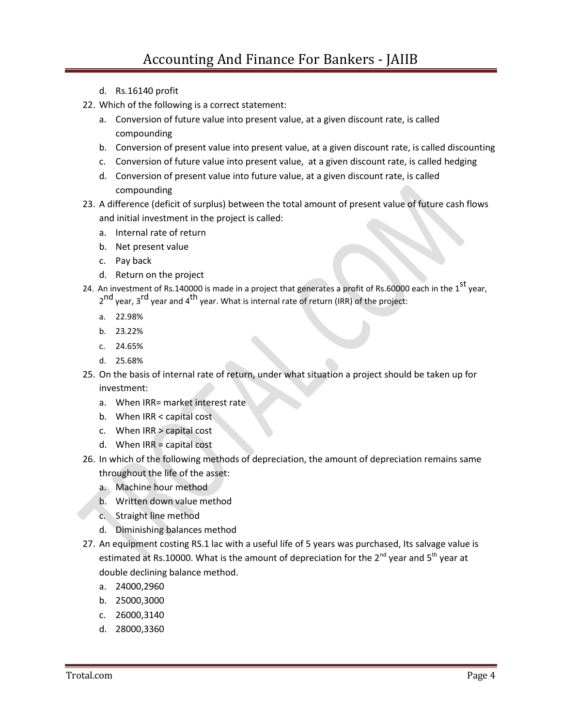- d. Rs.16140 profit
- 22. Which of the following is a correct statement:
	- a. Conversion of future value into present value, at a given discount rate, is called compounding
	- b. Conversion of present value into present value, at a given discount rate, is called discounting
	- c. Conversion of future value into present value, at a given discount rate, is called hedging
	- d. Conversion of present value into future value, at a given discount rate, is called compounding
- 23. A difference (deficit of surplus) between the total amount of present value of future cash flows and initial investment in the project is called:
	- a. Internal rate of return
	- b. Net present value
	- c. Pay back
	- d. Return on the project
- 24. An investment of Rs.140000 is made in a project that generates a profit of Rs.60000 each in the 1<sup>st</sup> year,
	- 2<sup>nd</sup> year, 3<sup>rd</sup> year and 4<sup>th</sup> year. What is internal rate of return (IRR) of the project:
	- a. 22.98%
	- b. 23.22%
	- c. 24.65%
	- d. 25.68%
- investment: 25. On the basis of internal rate of return, under what situation a project should be taken up for
	- a. When IRR= market interest rate
	- b. When IRR < capital cost
	- c. When IRR > capital cost
	- d. When IRR = capital cost
- throughout the life of the asset: 26. In which of the following methods of depreciation, the amount of depreciation remains same
	- a. Machine hour method
	- b. Written down value method
	- c. Straight line method
	- d. Diminishing balances method
- estimated at Rs.10000. What is the amount of depreciation for the  $2^{nd}$  year and  $5^{th}$  year at double declining balance method. 27. An equipment costing RS.1 lac with a useful life of 5 years was purchased, Its salvage value is
	- a. 24000,2960
	- b. 25000,3000
	- c. 26000,3140
	- d. 28000,3360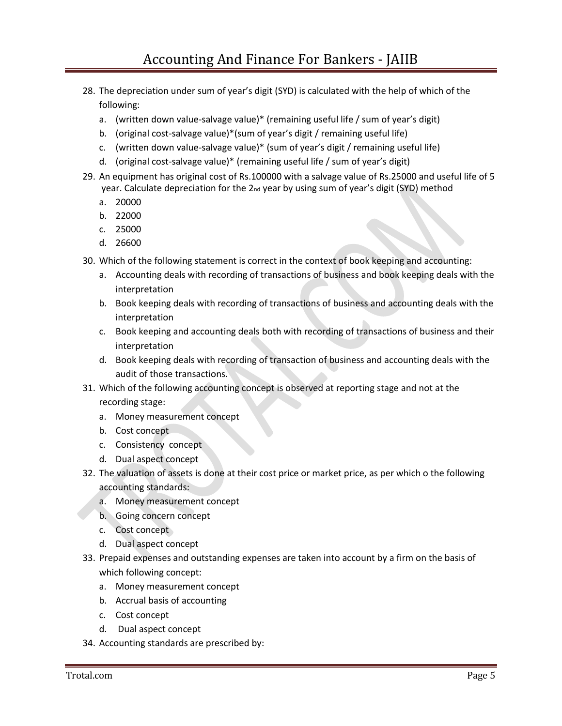- 28. The depreciation under sum of year's digit (SYD) is calculated with the help of which of the following:
	- a. (written down value-salvage value)\* (remaining useful life / sum of year's digit)
	- b. (original cost-salvage value)\*(sum of year's digit / remaining useful life)
	- c. (written down value-salvage value)\* (sum of year's digit / remaining useful life)
	- d. (original cost-salvage value)\* (remaining useful life / sum of year's digit)
- 29. An equipment has original cost of Rs.100000 with a salvage value of Rs.25000 and useful life of 5 year. Calculate depreciation for the 2<sub>nd</sub> year by using sum of year's digit (SYD) method
	- a. 20000
	- b. 22000
	- c. 25000
	- d. 26600
- 30. Which of the following statement is correct in the context of book keeping and accounting:
	- interpretation a. Accounting deals with recording of transactions of business and book keeping deals with the
	- b. Book keeping deals with recording of transactions of business and accounting deals with the interpretation
	- c. Book keeping and accounting deals both with recording of transactions of business and their interpretation
	- d. Book keeping deals with recording of transaction of business and accounting deals with the audit of those transactions.
- 31. Which of the following accounting concept is observed at reporting stage and not at the recording stage:
	- a. Money measurement concept
	- b. Cost concept
	- c. Consistency concept
	- d. Dual aspect concept
- 32. The valuation of assets is done at their cost price or market price, as per which o the following accounting standards:
	- a. Money measurement concept
	- b. Going concern concept
	- c. Cost concept
	- d. Dual aspect concept
- which following concept: 33. Prepaid expenses and outstanding expenses are taken into account by a firm on the basis of
	- a. Money measurement concept
	- b. Accrual basis of accounting
	- c. Cost concept
	- d. Dual aspect concept
- 34. Accounting standards are prescribed by: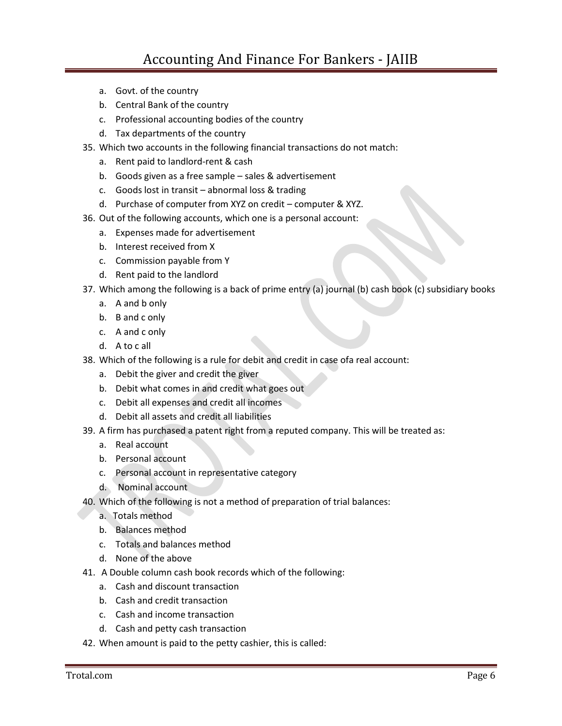- a. Govt. of the country
- b. Central Bank of the country
- c. Professional accounting bodies of the country
- d. Tax departments of the country
- 35. Which two accounts in the following financial transactions do not match:
	- a. Rent paid to landlord-rent & cash
	- b. Goods given as a free sample sales & advertisement
	- c. Goods lost in transit abnormal loss & trading
	- d. Purchase of computer from XYZ on credit computer & XYZ.
- 36. Out of the following accounts, which one is a personal account:
	- a. Expenses made for advertisement
	- b. Interest received from X
	- c. Commission payable from Y
	- d. Rent paid to the landlord
- 37. Which among the following is a back of prime entry (a) journal (b) cash book (c) subsidiary books
	- a. A and b only
	- b. B and c only
	- c. A and c only
	- d. A to c all
- 38. Which of the following is a rule for debit and credit in case ofa real account:
	- a. Debit the giver and credit the giver
	- b. Debit what comes in and credit what goes out
	- c. Debit all expenses and credit all incomes
	- d. Debit all assets and credit all liabilities
- 39. A firm has purchased a patent right from a reputed company. This will be treated as:
	- a. Real account
	- b. Personal account
	- c. Personal account in representative category
	- d. Nominal account
- 40. Which of the following is not a method of preparation of trial balances:
	- a. Totals method
	- b. Balances method
	- c. Totals and balances method
	- d. None of the above
- 41. A Double column cash book records which of the following:
	- a. Cash and discount transaction
		- b. Cash and credit transaction
		- c. Cash and income transaction
		- d. Cash and petty cash transaction
- 42. When amount is paid to the petty cashier, this is called: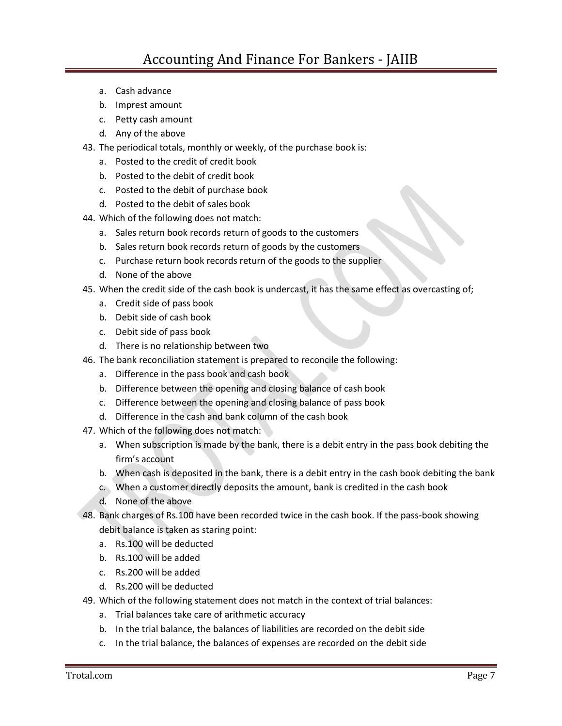- a. Cash advance
- b. Imprest amount
- c. Petty cash amount
- d. Any of the above
- 43. The periodical totals, monthly or weekly, of the purchase book is:
	- a. Posted to the credit of credit book
	- b. Posted to the debit of credit book
	- c. Posted to the debit of purchase book
	- d. Posted to the debit of sales book
- 44. Which of the following does not match:
	- a. Sales return book records return of goods to the customers
	- b. Sales return book records return of goods by the customers
	- c. Purchase return book records return of the goods to the supplier
	- d. None of the above
- 45. When the credit side of the cash book is undercast, it has the same effect as overcasting of;
	- a. Credit side of pass book
	- b. Debit side of cash book
	- c. Debit side of pass book
	- d. There is no relationship between two
- 46. The bank reconciliation statement is prepared to reconcile the following:
	- a. Difference in the pass book and cash book
	- b. Difference between the opening and closing balance of cash book
	- c. Difference between the opening and closing balance of pass book
	- d. Difference in the cash and bank column of the cash book
- 47. Which of the following does not match:
	- firm's account a. When subscription is made by the bank, there is a debit entry in the pass book debiting the
	- b. When cash is deposited in the bank, there is a debit entry in the cash book debiting the bank
	- c. When a customer directly deposits the amount, bank is credited in the cash book
	- d. None of the above
- debit balance is taken as staring point: 48. Bank charges of Rs.100 have been recorded twice in the cash book. If the pass-book showing
	- a. Rs.100 will be deducted
	- b. Rs.100 will be added
	- c. Rs.200 will be added
	- d. Rs.200 will be deducted
- 49. Which of the following statement does not match in the context of trial balances:
	- a. Trial balances take care of arithmetic accuracy
	- b. In the trial balance, the balances of liabilities are recorded on the debit side
	- c. In the trial balance, the balances of expenses are recorded on the debit side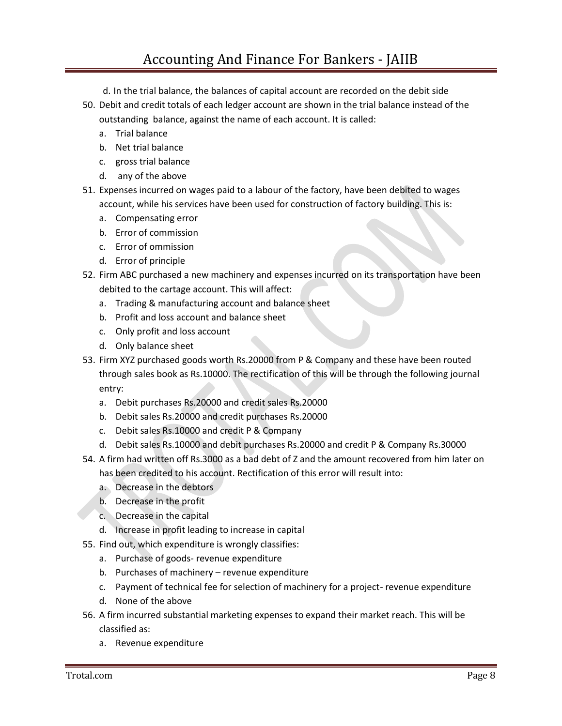## Accounting And Finance For Bankers - JAIIB

- d. In the trial balance, the balances of capital account are recorded on the debit side
- outstanding balance, against the name of each account. It is called: 50. Debit and credit totals of each ledger account are shown in the trial balance instead of the
	- a. Trial balance
	- b. Net trial balance
	- c. gross trial balance
	- d. any of the above
- 51. Expenses incurred on wages paid to a labour of the factory, have been debited to wages account, while his services have been used for construction of factory building. This is:
	- a. Compensating error
	- b. Error of commission
	- c. Error of ommission
	- d. Error of principle
- 52. Firm ABC purchased a new machinery and expenses incurred on its transportation have been debited to the cartage account. This will affect:
	- a. Trading & manufacturing account and balance sheet
	- b. Profit and loss account and balance sheet
	- c. Only profit and loss account
	- d. Only balance sheet
- 53. Firm XYZ purchased goods worth Rs.20000 from P & Company and these have been routed through sales book as Rs.10000. The rectification of this will be through the following journal entry:
	- a. Debit purchases Rs.20000 and credit sales Rs.20000
	- b. Debit sales Rs.20000 and credit purchases Rs.20000
	- c. Debit sales Rs.10000 and credit P & Company
	- d. Debit sales Rs.10000 and debit purchases Rs.20000 and credit P & Company Rs.30000
- has been credited to his account. Rectification of this error will result into: 54. A firm had written off Rs.3000 as a bad debt of Z and the amount recovered from him later on
	- a. Decrease in the debtors
	- b. Decrease in the profit
	- c. Decrease in the capital
	- d. Increase in profit leading to increase in capital
- 55. Find out, which expenditure is wrongly classifies:
	- a. Purchase of goods- revenue expenditure
	- b. Purchases of machinery revenue expenditure
	- c. Payment of technical fee for selection of machinery for a project- revenue expenditure
	- d. None of the above
- 56. A firm incurred substantial marketing expenses to expand their market reach. This will be classified as:
	- a. Revenue expenditure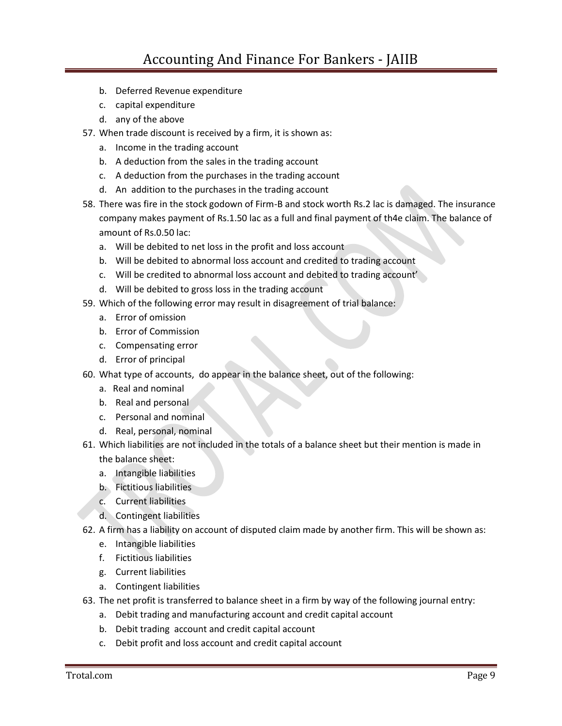- b. Deferred Revenue expenditure
- c. capital expenditure
- d. any of the above
- 57. When trade discount is received by a firm, it is shown as:
	- a. Income in the trading account
	- b. A deduction from the sales in the trading account
	- c. A deduction from the purchases in the trading account
	- d. An addition to the purchases in the trading account
- 58. There was fire in the stock godown of Firm-B and stock worth Rs.2 lac is damaged. The insurance company makes payment of Rs.1.50 lac as a full and final payment of th4e claim. The balance of amount of Rs.0.50 lac:
	- a. Will be debited to net loss in the profit and loss account
	- b. Will be debited to abnormal loss account and credited to trading account
	- c. Will be credited to abnormal loss account and debited to trading account'
	- d. Will be debited to gross loss in the trading account
- 59. Which of the following error may result in disagreement of trial balance:
	- a. Error of omission
	- b. Error of Commission
	- c. Compensating error
	- d. Error of principal
- 60. What type of accounts, do appear in the balance sheet, out of the following:
	- a. Real and nominal
	- b. Real and personal
	- c. Personal and nominal
	- d. Real, personal, nominal
- 61. Which liabilities are not included in the totals of a balance sheet but their mention is made in the balance sheet:
	- a. Intangible liabilities
	- b. Fictitious liabilities
	- c. Current liabilities
	- d. Contingent liabilities
- 62. A firm has a liability on account of disputed claim made by another firm. This will be shown as:
	- e. Intangible liabilities
	- f. Fictitious liabilities
	- g. Current liabilities
	- a. Contingent liabilities
- 63. The net profit is transferred to balance sheet in a firm by way of the following journal entry:
	- a. Debit trading and manufacturing account and credit capital account
	- b. Debit trading account and credit capital account
	- c. Debit profit and loss account and credit capital account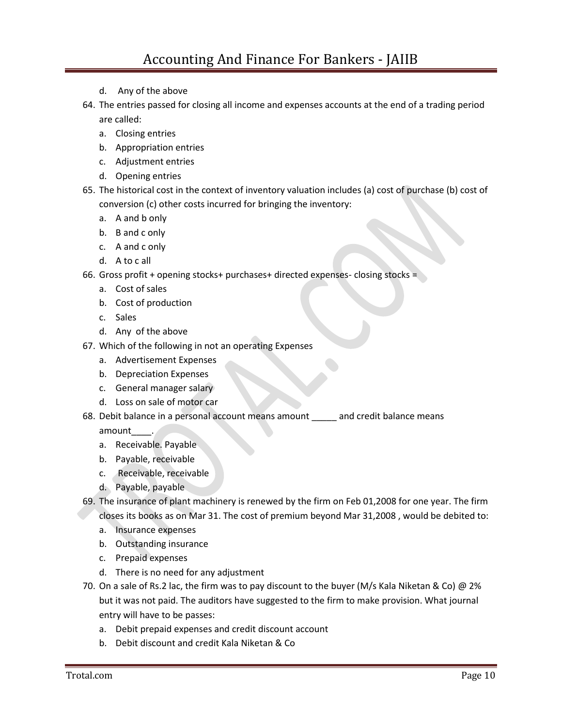- d. Any of the above
- are called: 64. The entries passed for closing all income and expenses accounts at the end of a trading period
	- a. Closing entries
	- b. Appropriation entries
	- c. Adjustment entries
	- d. Opening entries
- 65. The historical cost in the context of inventory valuation includes (a) cost of purchase (b) cost of conversion (c) other costs incurred for bringing the inventory:
	- a. A and b only
	- b. B and c only
	- c. A and c only
	- d. A to c all
- 66. Gross profit + opening stocks+ purchases+ directed expenses- closing stocks =
	- a. Cost of sales
	- b. Cost of production
	- c. Sales
	- d. Any of the above
- 67. Which of the following in not an operating Expenses
	- a. Advertisement Expenses
	- b. Depreciation Expenses
	- c. General manager salary
	- d. Loss on sale of motor car
- 68. Debit balance in a personal account means amount \_\_\_\_\_ and credit balance means

amount .

- a. Receivable. Payable
- b. Payable, receivable
- c. Receivable, receivable
- d. Payable, payable
- closes its books as on Mar 31. The cost of premium beyond Mar 31,2008 , would be debited to: 69. The insurance of plant machinery is renewed by the firm on Feb 01,2008 for one year. The firm
	- a. Insurance expenses
	- b. Outstanding insurance
	- c. Prepaid expenses
	- d. There is no need for any adjustment
- 70. On a sale of Rs.2 lac, the firm was to pay discount to the buyer (M/s Kala Niketan & Co) @ 2% but it was not paid. The auditors have suggested to the firm to make provision. What journal entry will have to be passes:
	- a. Debit prepaid expenses and credit discount account
	- b. Debit discount and credit Kala Niketan & Co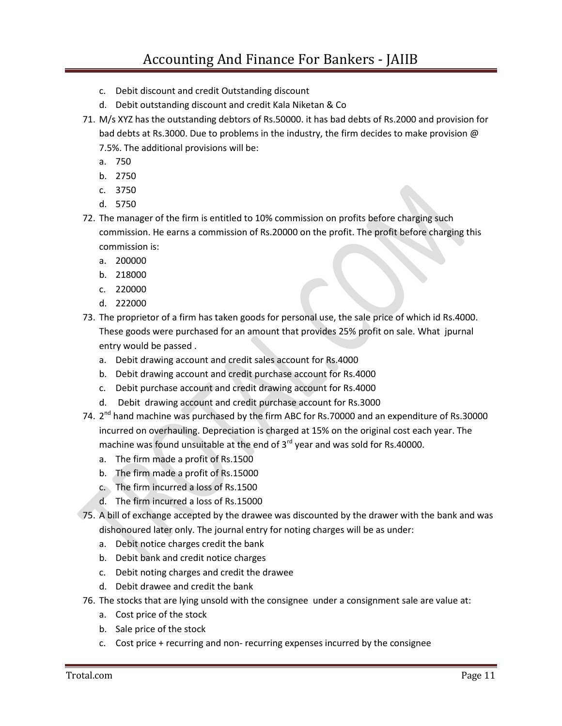- c. Debit discount and credit Outstanding discount
- d. Debit outstanding discount and credit Kala Niketan & Co
- 71. M/s XYZ has the outstanding debtors of Rs.50000. it has bad debts of Rs.2000 and provision for bad debts at Rs.3000. Due to problems in the industry, the firm decides to make provision @ 7.5%. The additional provisions will be:
	- a. 750
	- b. 2750
	- c. 3750
	- d. 5750
- 72. The manager of the firm is entitled to 10% commission on profits before charging such commission. He earns a commission of Rs.20000 on the profit. The profit before charging this commission is:
	- a. 200000
	- b. 218000
	- c. 220000
	- d. 222000
- 73. The proprietor of a firm has taken goods for personal use, the sale price of which id Rs.4000. These goods were purchased for an amount that provides 25% profit on sale. What jpurnal entry would be passed .
	- a. Debit drawing account and credit sales account for Rs.4000
	- b. Debit drawing account and credit purchase account for Rs.4000
	- c. Debit purchase account and credit drawing account for Rs.4000
	- d. Debit drawing account and credit purchase account for Rs.3000
- incurred on overhauling. Depreciation is charged at 15% on the original cost each year. The machine was found unsuitable at the end of  $3^{rd}$  year and was sold for Rs.40000. 74. 2<sup>nd</sup> hand machine was purchased by the firm ABC for Rs.70000 and an expenditure of Rs.30000
	- a. The firm made a profit of Rs.1500
	- b. The firm made a profit of Rs.15000
	- c. The firm incurred a loss of Rs.1500
	- d. The firm incurred a loss of Rs.15000
- dishonoured later only. The journal entry for noting charges will be as under: 75. A bill of exchange accepted by the drawee was discounted by the drawer with the bank and was
	- a. Debit notice charges credit the bank
	- b. Debit bank and credit notice charges
	- c. Debit noting charges and credit the drawee
	- d. Debit drawee and credit the bank
- 76. The stocks that are lying unsold with the consignee under a consignment sale are value at:
	- a. Cost price of the stock
	- b. Sale price of the stock
	- c. Cost price + recurring and non- recurring expenses incurred by the consignee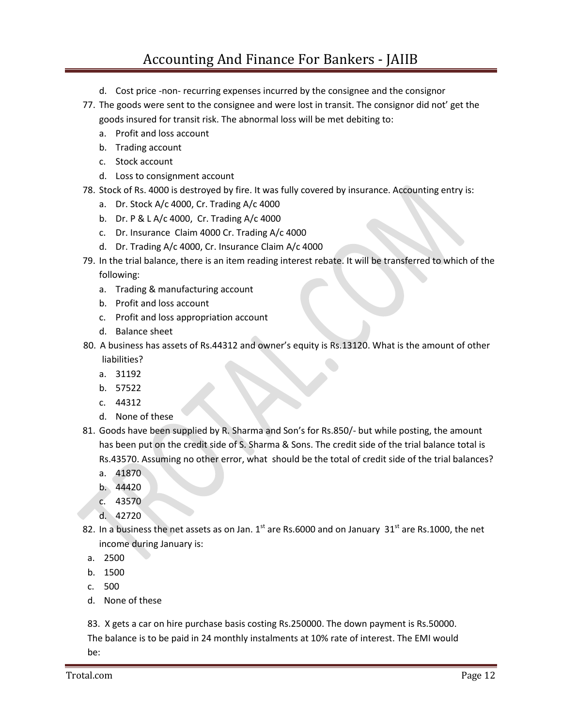## Accounting And Finance For Bankers - JAIIB

- d. Cost price -non- recurring expenses incurred by the consignee and the consignor
- goods insured for transit risk. The abnormal loss will be met debiting to: 77. The goods were sent to the consignee and were lost in transit. The consignor did not' get the
	- a. Profit and loss account
	- b. Trading account
	- c. Stock account
	- d. Loss to consignment account
- 78. Stock of Rs. 4000 is destroyed by fire. It was fully covered by insurance. Accounting entry is:
	- a. Dr. Stock A/c 4000, Cr. Trading A/c 4000
	- b. Dr. P & L A/c 4000, Cr. Trading A/c 4000
	- c. Dr. Insurance Claim 4000 Cr. Trading A/c 4000
	- d. Dr. Trading A/c 4000, Cr. Insurance Claim A/c 4000
- 79. In the trial balance, there is an item reading interest rebate. It will be transferred to which of the following:
	- a. Trading & manufacturing account
	- b. Profit and loss account
	- c. Profit and loss appropriation account
	- d. Balance sheet
- 80. A business has assets of Rs.44312 and owner's equity is Rs.13120. What is the amount of other liabilities?
	- a. 31192
	- b. 57522
	- c. 44312
	- d. None of these
- 81. Goods have been supplied by R. Sharma and Son's for Rs.850/- but while posting, the amount has been put on the credit side of S. Sharma & Sons. The credit side of the trial balance total is Rs.43570. Assuming no other error, what should be the total of credit side of the trial balances?
	- a. 41870
	- b. 44420
	- c. 43570
	- d. 42720
- 82. In a business the net assets as on Jan.  $1^{st}$  are Rs.6000 and on January  $31^{st}$  are Rs.1000, the net income during January is:
- a. 2500
- b. 1500
- c. 500
- d. None of these

83. X gets a car on hire purchase basis costing Rs.250000. The down payment is Rs.50000. The balance is to be paid in 24 monthly instalments at 10% rate of interest. The EMI would be: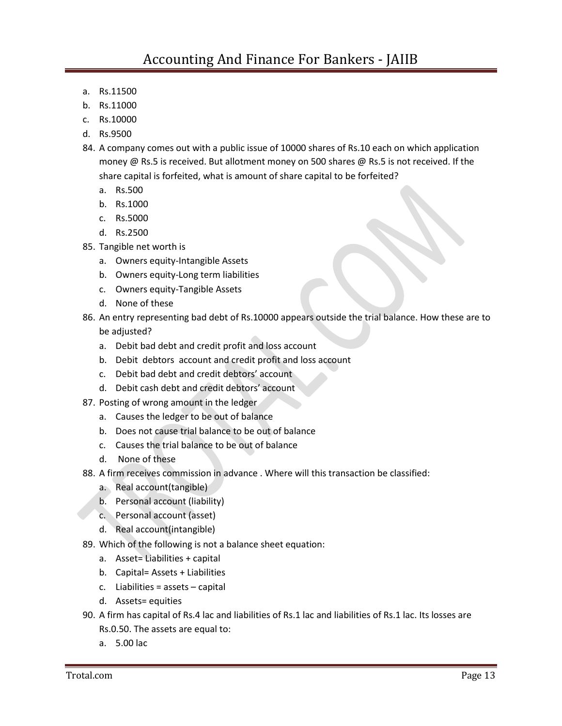- a. Rs.11500
- b. Rs.11000
- c. Rs.10000
- d. Rs.9500
- money @ Rs.5 is received. But allotment money on 500 shares @ Rs.5 is not received. If the share capital is forfeited, what is amount of share capital to be forfeited? 84. A company comes out with a public issue of 10000 shares of Rs.10 each on which application
	- a. Rs.500
	- b. Rs.1000
	- c. Rs.5000
	- d. Rs.2500
- 85. Tangible net worth is
	- a. Owners equity-Intangible Assets
	- b. Owners equity-Long term liabilities
	- c. Owners equity-Tangible Assets
	- d. None of these
- 86. An entry representing bad debt of Rs.10000 appears outside the trial balance. How these are to be adjusted?
	- a. Debit bad debt and credit profit and loss account
	- b. Debit debtors account and credit profit and loss account
	- c. Debit bad debt and credit debtors' account
	- d. Debit cash debt and credit debtors' account
- 87. Posting of wrong amount in the ledger
	- a. Causes the ledger to be out of balance
	- b. Does not cause trial balance to be out of balance
	- c. Causes the trial balance to be out of balance
	- d. None of these
- 88. A firm receives commission in advance . Where will this transaction be classified:
	- a. Real account(tangible)
	- b. Personal account (liability)
	- c. Personal account (asset)
	- d. Real account(intangible)
- 89. Which of the following is not a balance sheet equation:
	- a. Asset= Liabilities + capital
	- b. Capital= Assets + Liabilities
	- c. Liabilities = assets capital
	- d. Assets= equities
- 90. A firm has capital of Rs.4 lac and liabilities of Rs.1 lac and liabilities of Rs.1 lac. Its losses are Rs.0.50. The assets are equal to:
	- a. 5.00 lac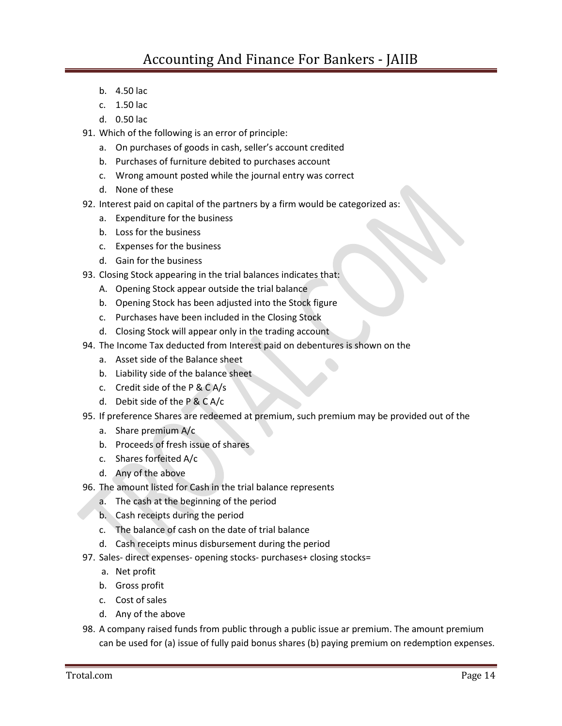- b. 4.50 lac
- c. 1.50 lac
- d. 0.50 lac
- 91. Which of the following is an error of principle:
	- a. On purchases of goods in cash, seller's account credited
	- b. Purchases of furniture debited to purchases account
	- c. Wrong amount posted while the journal entry was correct
	- d. None of these
- 92. Interest paid on capital of the partners by a firm would be categorized as:
	- a. Expenditure for the business
	- b. Loss for the business
	- c. Expenses for the business
	- d. Gain for the business
- 93. Closing Stock appearing in the trial balances indicates that:
	- A. Opening Stock appear outside the trial balance
	- b. Opening Stock has been adjusted into the Stock figure
	- c. Purchases have been included in the Closing Stock
	- d. Closing Stock will appear only in the trading account
- 94. The Income Tax deducted from Interest paid on debentures is shown on the
	- a. Asset side of the Balance sheet
	- b. Liability side of the balance sheet
	- c. Credit side of the P & C A/s
	- d. Debit side of the P & C A/c
- 95. If preference Shares are redeemed at premium, such premium may be provided out of the
	- a. Share premium A/c
	- b. Proceeds of fresh issue of shares
	- c. Shares forfeited A/c
	- d. Any of the above
- 96. The amount listed for Cash in the trial balance represents
	- a. The cash at the beginning of the period
	- b. Cash receipts during the period
	- c. The balance of cash on the date of trial balance
	- d. Cash receipts minus disbursement during the period
- 97. Sales- direct expenses- opening stocks- purchases+ closing stocks=
	- a. Net profit
	- b. Gross profit
	- c. Cost of sales
	- d. Any of the above
- 98. A company raised funds from public through a public issue ar premium. The amount premium can be used for (a) issue of fully paid bonus shares (b) paying premium on redemption expenses.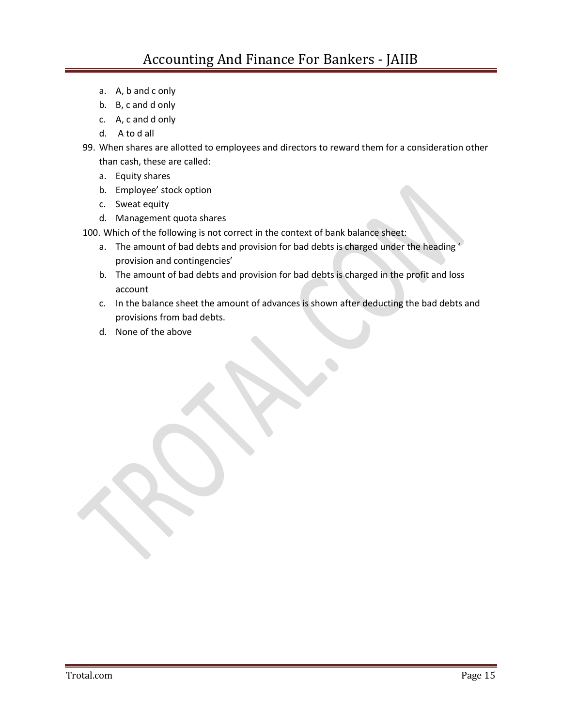- a. A, b and c only
- b. B, c and d only
- c. A, c and d only
- d. A to d all
- 99. When shares are allotted to employees and directors to reward them for a consideration other than cash, these are called:
	- a. Equity shares
	- b. Employee' stock option
	- c. Sweat equity
	- d. Management quota shares

100. Which of the following is not correct in the context of bank balance sheet:

- a. The amount of bad debts and provision for bad debts is charged under the heading ' provision and contingencies'
- b. The amount of bad debts and provision for bad debts is charged in the profit and loss account
- c. In the balance sheet the amount of advances is shown after deducting the bad debts and provisions from bad debts.
- d. None of the above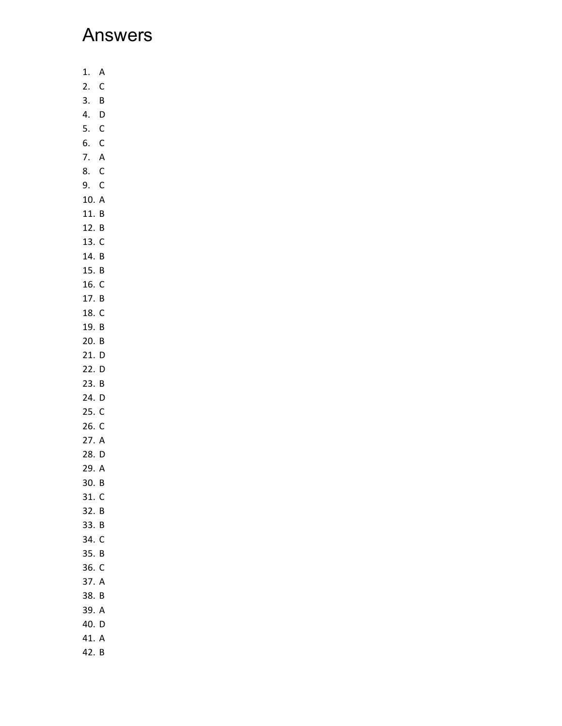## Answers

- 1. A
- 2. C
- 3. B
- 4. D
- 5. C
- 6. C 7. A
- 8. C
- 9. C
- 10. A
- 11. B
- 12. B
- 13. C
- 14. B
- 15. B
- 16. C
- 17. B
- 18. C
- 19. B
- 20. B 21. D
- 22. D
- 23. B
- 24. D
- 25. C
- 26. C
- 27. A
- 28. D
- 29. A
- 30. B
- 31. C
- 32. B
- 33. B
- 34. C
- 35. B
- 36. C 37. A
- 38. B
- 39. A
- 40. D
- 41. A
- 42. B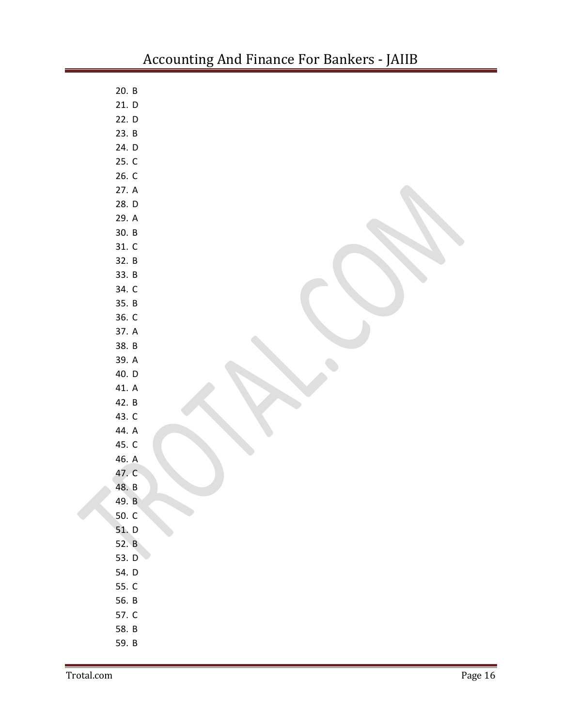| 20. B |  |
|-------|--|
| 21. D |  |
| 22. D |  |
| 23. B |  |
| 24. D |  |
| 25. C |  |
| 26. C |  |
| 27. A |  |
| 28. D |  |
| 29. A |  |
| 30. B |  |
| 31. C |  |
| 32. B |  |
| 33. B |  |
| 34. C |  |
| 35. B |  |
| 36. C |  |
| 37. A |  |
| 38. B |  |
| 39. A |  |
| 40. D |  |
| 41. A |  |
| 42. B |  |
| 43. C |  |
| 44. A |  |
| 45. C |  |
| 46. A |  |
| 47. C |  |
| 48. B |  |
| 49. B |  |
| 50. C |  |
| 51. D |  |
| 52. B |  |
| 53. D |  |
| 54. D |  |
| 55. C |  |
| 56. B |  |
| 57. C |  |
| 58. B |  |
| 59. B |  |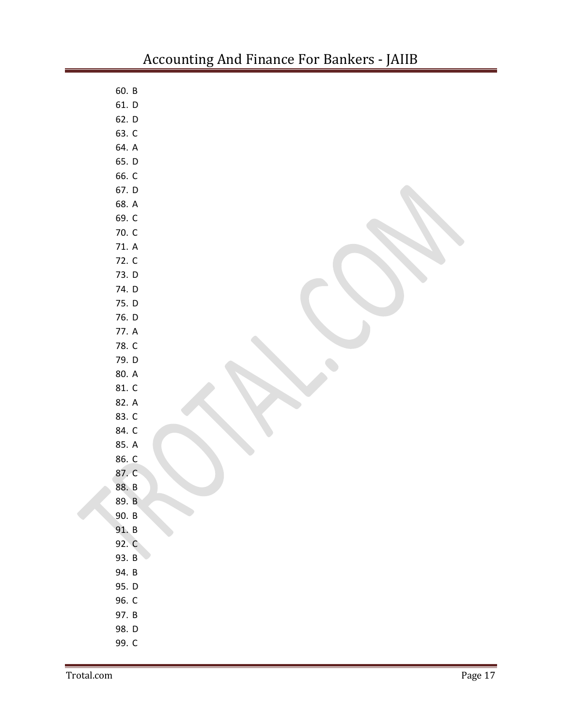| 60. B |  |
|-------|--|
| 61. D |  |
| 62. D |  |
| 63. C |  |
| 64. A |  |
| 65. D |  |
| 66. C |  |
| 67. D |  |
| 68. A |  |
| 69. C |  |
| 70. C |  |
| 71. A |  |
| 72. C |  |
| 73. D |  |
| 74. D |  |
| 75. D |  |
| 76. D |  |
| 77. A |  |
| 78. C |  |
| 79. D |  |
| 80. A |  |
| 81. C |  |
| 82. A |  |
| 83. C |  |
| 84. C |  |
| 85. A |  |
| 86. C |  |
| 87. C |  |
| 88. B |  |
| 89. B |  |
| 90. B |  |
| 91. B |  |
| 92. C |  |
| 93. B |  |
| 94. B |  |
| 95. D |  |
| 96. C |  |
| 97. B |  |
| 98. D |  |
| 99. C |  |